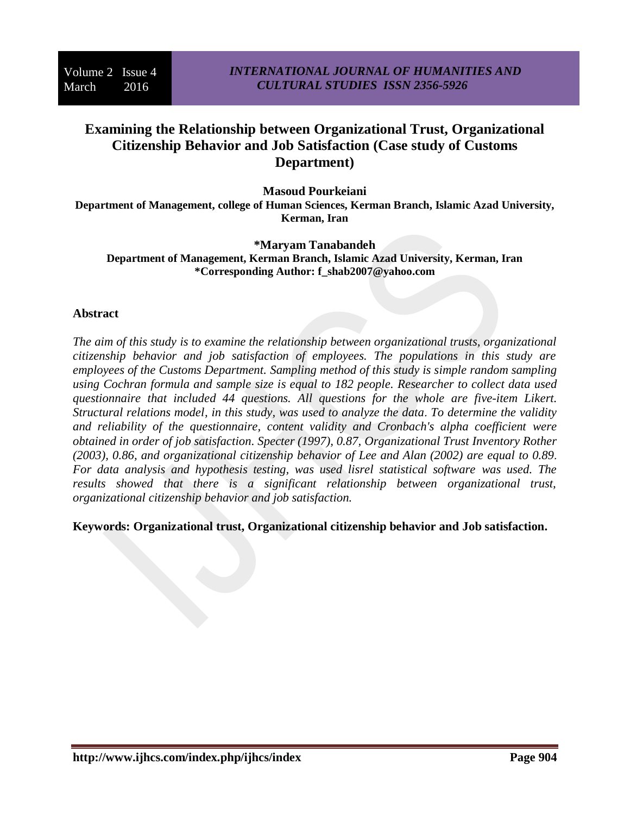# **Examining the Relationship between Organizational Trust, Organizational Citizenship Behavior and Job Satisfaction (Case study of Customs Department)**

**Masoud Pourkeiani** 

**Department of Management, college of Human Sciences, Kerman Branch, Islamic Azad University, Kerman, Iran**

**\*Maryam Tanabandeh**

**Department of Management, Kerman Branch, Islamic Azad University, Kerman, Iran \*Corresponding Author: [f\\_shab2007@yahoo.com](mailto:f_shab2007@yahoo.com)**

## **Abstract**

*The aim of this study is to examine the relationship between organizational trusts, organizational citizenship behavior and job satisfaction of employees. The populations in this study are employees of the Customs Department. Sampling method of this study is simple random sampling using Cochran formula and sample size is equal to 182 people. Researcher to collect data used questionnaire that included 44 questions. All questions for the whole are five-item Likert. Structural relations model, in this study, was used to analyze the data*. *To determine the validity and reliability of the questionnaire, content validity and Cronbach's alpha coefficient were obtained in order of job satisfaction. Specter (1997), 0.87, Organizational Trust Inventory Rother (2003), 0.86, and organizational citizenship behavior of Lee and Alan (2002) are equal to 0.89*. *For data analysis and hypothesis testing, was used lisrel statistical software was used. The results showed that there is a significant relationship between organizational trust, organizational citizenship behavior and job satisfaction.*

**Keywords: Organizational trust, Organizational citizenship behavior and Job satisfaction.**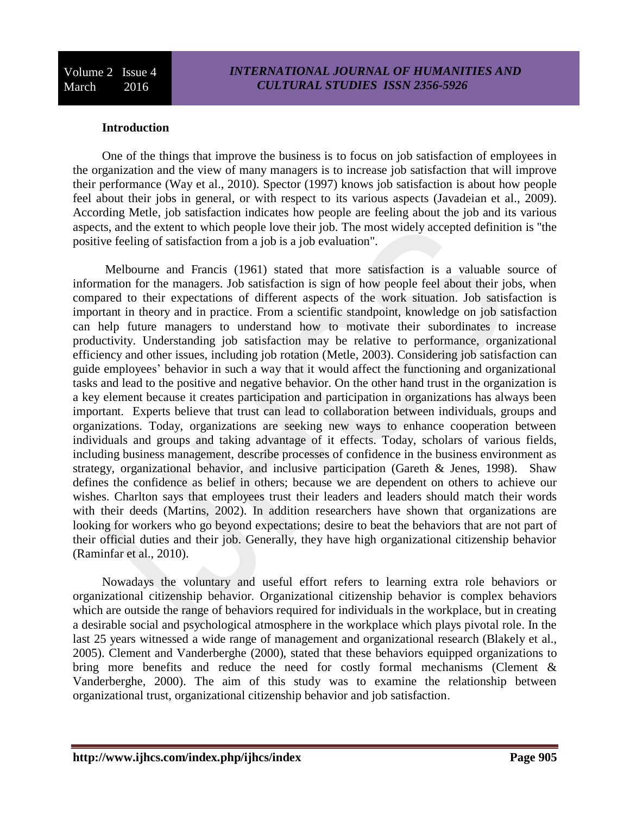# **Introduction**

One of the things that improve the business is to focus on job satisfaction of employees in the organization and the view of many managers is to increase job satisfaction that will improve their performance (Way et al., 2010). Spector (1997) knows job satisfaction is about how people feel about their jobs in general, or with respect to its various aspects (Javadeian et al., 2009). According Metle, job satisfaction indicates how people are feeling about the job and its various aspects, and the extent to which people love their job. The most widely accepted definition is "the positive feeling of satisfaction from a job is a job evaluation".

Melbourne and Francis (1961) stated that more satisfaction is a valuable source of information for the managers. Job satisfaction is sign of how people feel about their jobs, when compared to their expectations of different aspects of the work situation. Job satisfaction is important in theory and in practice. From a scientific standpoint, knowledge on job satisfaction can help future managers to understand how to motivate their subordinates to increase productivity. Understanding job satisfaction may be relative to performance, organizational efficiency and other issues, including job rotation (Metle, 2003). Considering job satisfaction can guide employees' behavior in such a way that it would affect the functioning and organizational tasks and lead to the positive and negative behavior. On the other hand trust in the organization is a key element because it creates participation and participation in organizations has always been important. Experts believe that trust can lead to collaboration between individuals, groups and organizations. Today, organizations are seeking new ways to enhance cooperation between individuals and groups and taking advantage of it effects. Today, scholars of various fields, including business management, describe processes of confidence in the business environment as strategy, organizational behavior, and inclusive participation (Gareth & Jenes, 1998). Shaw defines the confidence as belief in others; because we are dependent on others to achieve our wishes. Charlton says that employees trust their leaders and leaders should match their words with their deeds (Martins, 2002). In addition researchers have shown that organizations are looking for workers who go beyond expectations; desire to beat the behaviors that are not part of their official duties and their job. Generally, they have high organizational citizenship behavior (Raminfar et al., 2010).

Nowadays the voluntary and useful effort refers to learning extra role behaviors or organizational citizenship behavior. Organizational citizenship behavior is complex behaviors which are outside the range of behaviors required for individuals in the workplace, but in creating a desirable social and psychological atmosphere in the workplace which plays pivotal role. In the last 25 years witnessed a wide range of management and organizational research (Blakely et al., 2005). Clement and Vanderberghe (2000), stated that these behaviors equipped organizations to bring more benefits and reduce the need for costly formal mechanisms (Clement & Vanderberghe, 2000). The aim of this study was to examine the relationship between organizational trust, organizational citizenship behavior and job satisfaction.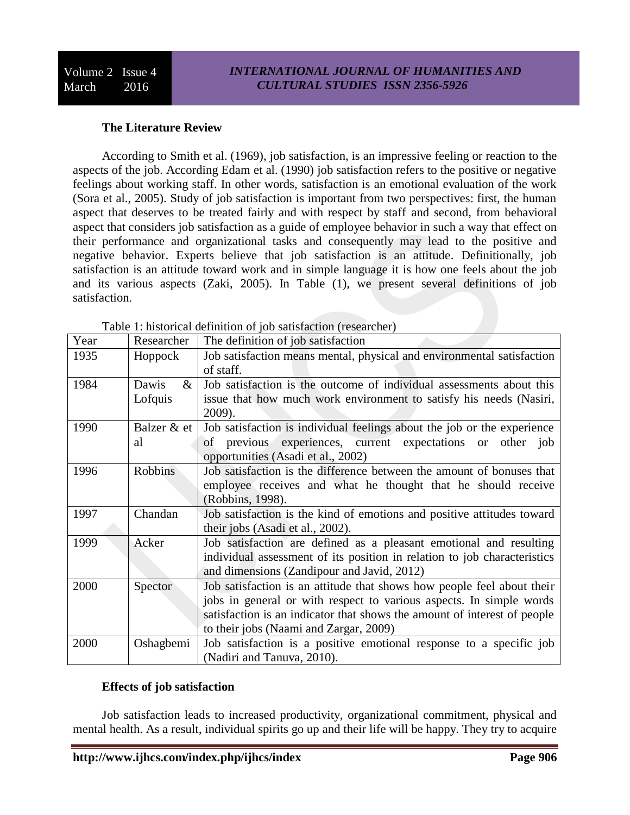# **The Literature Review**

According to Smith et al. (1969), job satisfaction, is an impressive feeling or reaction to the aspects of the job. According Edam et al. (1990) job satisfaction refers to the positive or negative feelings about working staff. In other words, satisfaction is an emotional evaluation of the work (Sora et al., 2005). Study of job satisfaction is important from two perspectives: first, the human aspect that deserves to be treated fairly and with respect by staff and second, from behavioral aspect that considers job satisfaction as a guide of employee behavior in such a way that effect on their performance and organizational tasks and consequently may lead to the positive and negative behavior. Experts believe that job satisfaction is an attitude. Definitionally, job satisfaction is an attitude toward work and in simple language it is how one feels about the job and its various aspects (Zaki, 2005). In Table (1), we present several definitions of job satisfaction.

| Year | Researcher     | The definition of job satisfaction                                       |  |  |
|------|----------------|--------------------------------------------------------------------------|--|--|
| 1935 | Hoppock        | Job satisfaction means mental, physical and environmental satisfaction   |  |  |
|      |                | of staff.                                                                |  |  |
| 1984 | Dawis<br>$\&$  | Job satisfaction is the outcome of individual assessments about this     |  |  |
|      | Lofquis        | issue that how much work environment to satisfy his needs (Nasiri,       |  |  |
|      |                | 2009).                                                                   |  |  |
| 1990 | Balzer & et    | Job satisfaction is individual feelings about the job or the experience  |  |  |
|      | al             | of previous experiences, current expectations or other job               |  |  |
|      |                | opportunities (Asadi et al., 2002)                                       |  |  |
| 1996 | <b>Robbins</b> | Job satisfaction is the difference between the amount of bonuses that    |  |  |
|      |                | employee receives and what he thought that he should receive             |  |  |
|      |                | (Robbins, 1998).                                                         |  |  |
| 1997 | Chandan        | Job satisfaction is the kind of emotions and positive attitudes toward   |  |  |
|      |                | their jobs (Asadi et al., 2002).                                         |  |  |
| 1999 | Acker          | Job satisfaction are defined as a pleasant emotional and resulting       |  |  |
|      |                | individual assessment of its position in relation to job characteristics |  |  |
|      |                | and dimensions (Zandipour and Javid, 2012)                               |  |  |
| 2000 | Spector        | Job satisfaction is an attitude that shows how people feel about their   |  |  |
|      |                | jobs in general or with respect to various aspects. In simple words      |  |  |
|      |                | satisfaction is an indicator that shows the amount of interest of people |  |  |
|      |                | to their jobs (Naami and Zargar, 2009)                                   |  |  |
| 2000 | Oshagbemi      | Job satisfaction is a positive emotional response to a specific job      |  |  |
|      |                | (Nadiri and Tanuva, 2010).                                               |  |  |

Table 1: historical definition of job satisfaction (researcher)

## **Effects of job satisfaction**

Job satisfaction leads to increased productivity, organizational commitment, physical and mental health. As a result, individual spirits go up and their life will be happy. They try to acquire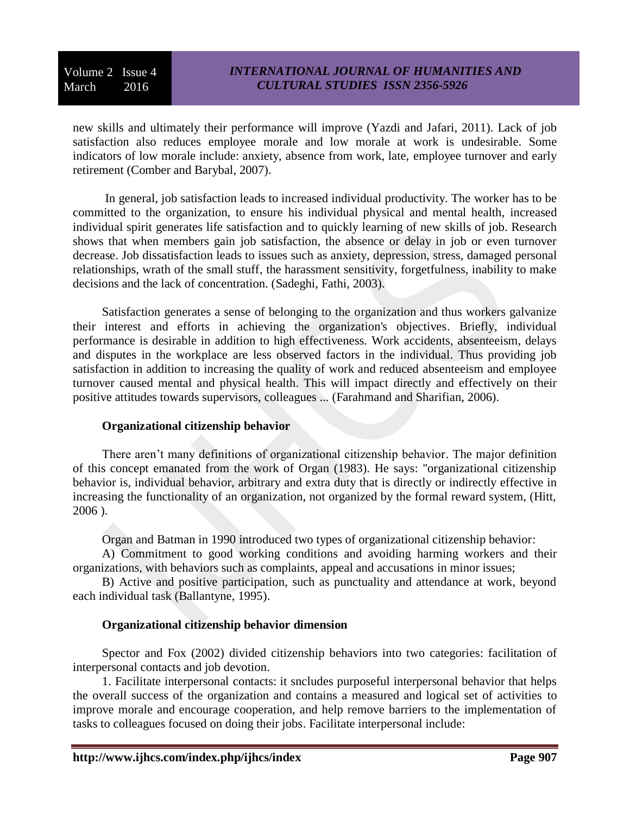new skills and ultimately their performance will improve (Yazdi and Jafari, 2011). Lack of job satisfaction also reduces employee morale and low morale at work is undesirable. Some indicators of low morale include: anxiety, absence from work, late, employee turnover and early retirement (Comber and Barybal, 2007).

In general, job satisfaction leads to increased individual productivity. The worker has to be committed to the organization, to ensure his individual physical and mental health, increased individual spirit generates life satisfaction and to quickly learning of new skills of job. Research shows that when members gain job satisfaction, the absence or delay in job or even turnover decrease. Job dissatisfaction leads to issues such as anxiety, depression, stress, damaged personal relationships, wrath of the small stuff, the harassment sensitivity, forgetfulness, inability to make decisions and the lack of concentration. (Sadeghi, Fathi, 2003).

Satisfaction generates a sense of belonging to the organization and thus workers galvanize their interest and efforts in achieving the organization's objectives. Briefly, individual performance is desirable in addition to high effectiveness. Work accidents, absenteeism, delays and disputes in the workplace are less observed factors in the individual. Thus providing job satisfaction in addition to increasing the quality of work and reduced absenteeism and employee turnover caused mental and physical health. This will impact directly and effectively on their positive attitudes towards supervisors, colleagues ... (Farahmand and Sharifian, 2006).

## **Organizational citizenship behavior**

There aren't many definitions of organizational citizenship behavior. The major definition of this concept emanated from the work of Organ (1983). He says: "organizational citizenship behavior is, individual behavior, arbitrary and extra duty that is directly or indirectly effective in increasing the functionality of an organization, not organized by the formal reward system, (Hitt, 2006 ).

Organ and Batman in 1990 introduced two types of organizational citizenship behavior:

A) Commitment to good working conditions and avoiding harming workers and their organizations, with behaviors such as complaints, appeal and accusations in minor issues;

B) Active and positive participation, such as punctuality and attendance at work, beyond each individual task (Ballantyne, 1995).

## **Organizational citizenship behavior dimension**

Spector and Fox (2002) divided citizenship behaviors into two categories: facilitation of interpersonal contacts and job devotion.

1. Facilitate interpersonal contacts: it sncludes purposeful interpersonal behavior that helps the overall success of the organization and contains a measured and logical set of activities to improve morale and encourage cooperation, and help remove barriers to the implementation of tasks to colleagues focused on doing their jobs. Facilitate interpersonal include: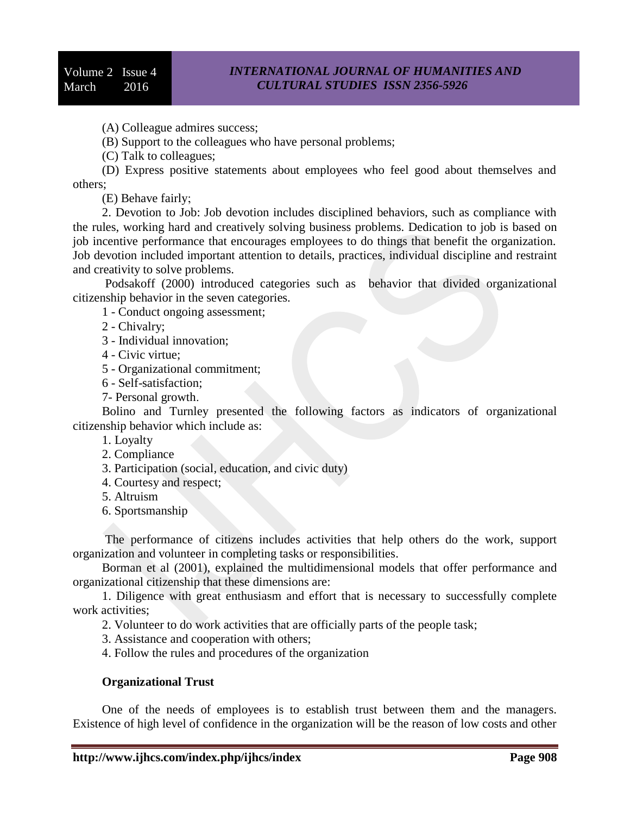(A) Colleague admires success;

(B) Support to the colleagues who have personal problems;

(C) Talk to colleagues;

(D) Express positive statements about employees who feel good about themselves and others;

(E) Behave fairly;

2. Devotion to Job: Job devotion includes disciplined behaviors, such as compliance with the rules, working hard and creatively solving business problems. Dedication to job is based on job incentive performance that encourages employees to do things that benefit the organization. Job devotion included important attention to details, practices, individual discipline and restraint and creativity to solve problems.

Podsakoff (2000) introduced categories such as behavior that divided organizational citizenship behavior in the seven categories.

1 - Conduct ongoing assessment;

2 - Chivalry;

3 - Individual innovation;

4 - Civic virtue;

5 - Organizational commitment;

6 - Self-satisfaction;

7- Personal growth.

Bolino and Turnley presented the following factors as indicators of organizational citizenship behavior which include as:

1. Loyalty

- 2. Compliance
- 3. Participation (social, education, and civic duty)
- 4. Courtesy and respect;
- 5. Altruism
- 6. Sportsmanship

The performance of citizens includes activities that help others do the work, support organization and volunteer in completing tasks or responsibilities.

Borman et al (2001), explained the multidimensional models that offer performance and organizational citizenship that these dimensions are:

1. Diligence with great enthusiasm and effort that is necessary to successfully complete work activities;

2. Volunteer to do work activities that are officially parts of the people task;

3. Assistance and cooperation with others;

4. Follow the rules and procedures of the organization

#### **Organizational Trust**

One of the needs of employees is to establish trust between them and the managers. Existence of high level of confidence in the organization will be the reason of low costs and other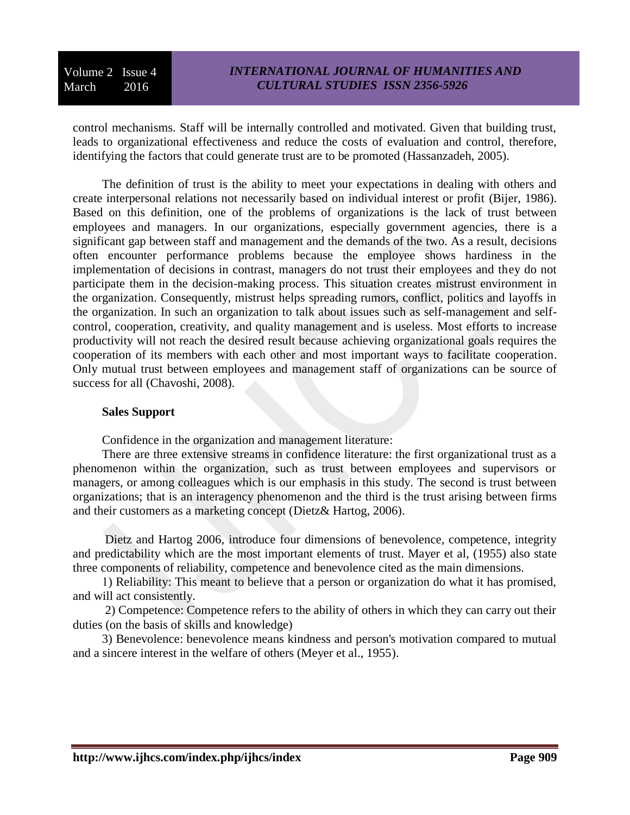control mechanisms. Staff will be internally controlled and motivated. Given that building trust, leads to organizational effectiveness and reduce the costs of evaluation and control, therefore, identifying the factors that could generate trust are to be promoted (Hassanzadeh, 2005).

The definition of trust is the ability to meet your expectations in dealing with others and create interpersonal relations not necessarily based on individual interest or profit (Bijer, 1986). Based on this definition, one of the problems of organizations is the lack of trust between employees and managers. In our organizations, especially government agencies, there is a significant gap between staff and management and the demands of the two. As a result, decisions often encounter performance problems because the employee shows hardiness in the implementation of decisions in contrast, managers do not trust their employees and they do not participate them in the decision-making process. This situation creates mistrust environment in the organization. Consequently, mistrust helps spreading rumors, conflict, politics and layoffs in the organization. In such an organization to talk about issues such as self-management and selfcontrol, cooperation, creativity, and quality management and is useless. Most efforts to increase productivity will not reach the desired result because achieving organizational goals requires the cooperation of its members with each other and most important ways to facilitate cooperation. Only mutual trust between employees and management staff of organizations can be source of success for all (Chavoshi, 2008).

#### **Sales Support**

Confidence in the organization and management literature:

There are three extensive streams in confidence literature: the first organizational trust as a phenomenon within the organization, such as trust between employees and supervisors or managers, or among colleagues which is our emphasis in this study. The second is trust between organizations; that is an interagency phenomenon and the third is the trust arising between firms and their customers as a marketing concept (Dietz& Hartog, 2006).

Dietz and Hartog 2006, introduce four dimensions of benevolence, competence, integrity and predictability which are the most important elements of trust. Mayer et al, (1955) also state three components of reliability, competence and benevolence cited as the main dimensions.

1) Reliability: This meant to believe that a person or organization do what it has promised, and will act consistently.

2) Competence: Competence refers to the ability of others in which they can carry out their duties (on the basis of skills and knowledge)

3) Benevolence: benevolence means kindness and person's motivation compared to mutual and a sincere interest in the welfare of others (Meyer et al., 1955).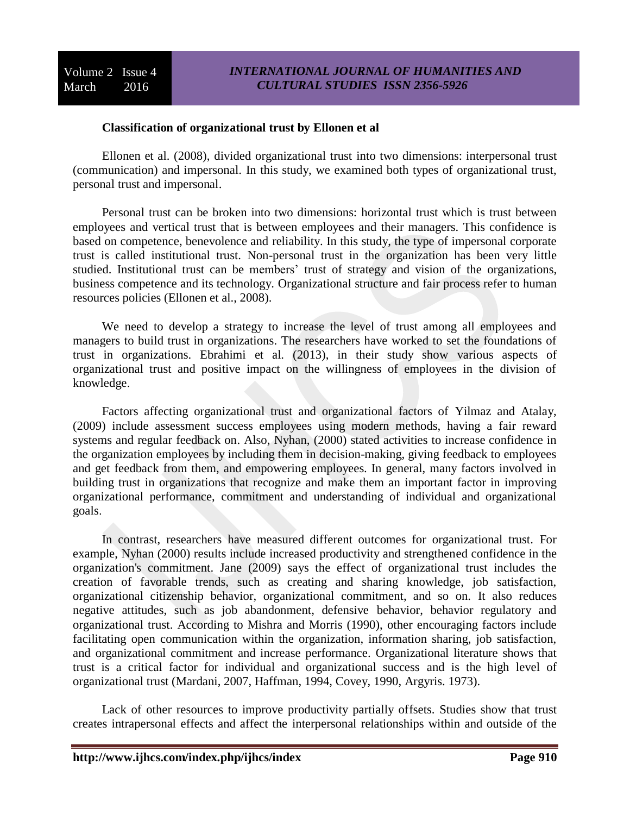## **Classification of organizational trust by Ellonen et al**

Ellonen et al. (2008), divided organizational trust into two dimensions: interpersonal trust (communication) and impersonal. In this study, we examined both types of organizational trust, personal trust and impersonal.

Personal trust can be broken into two dimensions: horizontal trust which is trust between employees and vertical trust that is between employees and their managers. This confidence is based on competence, benevolence and reliability. In this study, the type of impersonal corporate trust is called institutional trust. Non-personal trust in the organization has been very little studied. Institutional trust can be members' trust of strategy and vision of the organizations, business competence and its technology. Organizational structure and fair process refer to human resources policies (Ellonen et al., 2008).

We need to develop a strategy to increase the level of trust among all employees and managers to build trust in organizations. The researchers have worked to set the foundations of trust in organizations. Ebrahimi et al. (2013), in their study show various aspects of organizational trust and positive impact on the willingness of employees in the division of knowledge.

Factors affecting organizational trust and organizational factors of Yilmaz and Atalay, (2009) include assessment success employees using modern methods, having a fair reward systems and regular feedback on. Also, Nyhan, (2000) stated activities to increase confidence in the organization employees by including them in decision-making, giving feedback to employees and get feedback from them, and empowering employees. In general, many factors involved in building trust in organizations that recognize and make them an important factor in improving organizational performance, commitment and understanding of individual and organizational goals.

In contrast, researchers have measured different outcomes for organizational trust. For example, Nyhan (2000) results include increased productivity and strengthened confidence in the organization's commitment. Jane (2009) says the effect of organizational trust includes the creation of favorable trends, such as creating and sharing knowledge, job satisfaction, organizational citizenship behavior, organizational commitment, and so on. It also reduces negative attitudes, such as job abandonment, defensive behavior, behavior regulatory and organizational trust. According to Mishra and Morris (1990), other encouraging factors include facilitating open communication within the organization, information sharing, job satisfaction, and organizational commitment and increase performance. Organizational literature shows that trust is a critical factor for individual and organizational success and is the high level of organizational trust (Mardani, 2007, Haffman, 1994, Covey, 1990, Argyris. 1973).

Lack of other resources to improve productivity partially offsets. Studies show that trust creates intrapersonal effects and affect the interpersonal relationships within and outside of the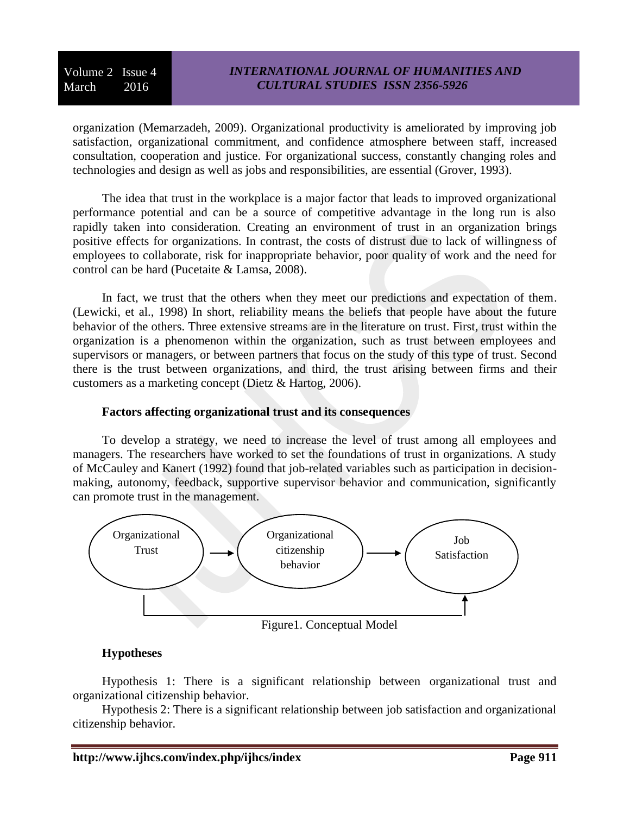organization (Memarzadeh, 2009). Organizational productivity is ameliorated by improving job satisfaction, organizational commitment, and confidence atmosphere between staff, increased consultation, cooperation and justice. For organizational success, constantly changing roles and technologies and design as well as jobs and responsibilities, are essential (Grover, 1993).

The idea that trust in the workplace is a major factor that leads to improved organizational performance potential and can be a source of competitive advantage in the long run is also rapidly taken into consideration. Creating an environment of trust in an organization brings positive effects for organizations. In contrast, the costs of distrust due to lack of willingness of employees to collaborate, risk for inappropriate behavior, poor quality of work and the need for control can be hard (Pucetaite & Lamsa, 2008).

In fact, we trust that the others when they meet our predictions and expectation of them. (Lewicki, et al., 1998) In short, reliability means the beliefs that people have about the future behavior of the others. Three extensive streams are in the literature on trust. First, trust within the organization is a phenomenon within the organization, such as trust between employees and supervisors or managers, or between partners that focus on the study of this type of trust. Second there is the trust between organizations, and third, the trust arising between firms and their customers as a marketing concept (Dietz & Hartog, 2006).

## **Factors affecting organizational trust and its consequences**

To develop a strategy, we need to increase the level of trust among all employees and managers. The researchers have worked to set the foundations of trust in organizations. A study of McCauley and Kanert (1992) found that job-related variables such as participation in decisionmaking, autonomy, feedback, supportive supervisor behavior and communication, significantly can promote trust in the management.



## **Hypotheses**

Hypothesis 1: There is a significant relationship between organizational trust and organizational citizenship behavior.

Hypothesis 2: There is a significant relationship between job satisfaction and organizational citizenship behavior.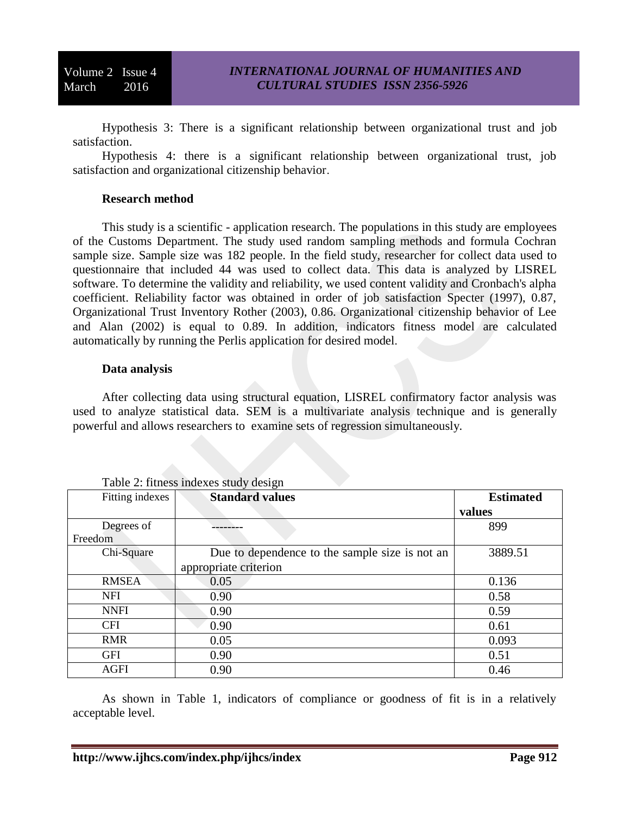Hypothesis 3: There is a significant relationship between organizational trust and job satisfaction.

Hypothesis 4: there is a significant relationship between organizational trust, job satisfaction and organizational citizenship behavior.

## **Research method**

This study is a scientific - application research. The populations in this study are employees of the Customs Department. The study used random sampling methods and formula Cochran sample size. Sample size was 182 people. In the field study, researcher for collect data used to questionnaire that included 44 was used to collect data. This data is analyzed by LISREL software. To determine the validity and reliability, we used content validity and Cronbach's alpha coefficient. Reliability factor was obtained in order of job satisfaction Specter (1997), 0.87, Organizational Trust Inventory Rother (2003), 0.86. Organizational citizenship behavior of Lee and Alan (2002) is equal to 0.89. In addition, indicators fitness model are calculated automatically by running the Perlis application for desired model.

#### **Data analysis**

After collecting data using structural equation, LISREL confirmatory factor analysis was used to analyze statistical data. SEM is a multivariate analysis technique and is generally powerful and allows researchers to examine sets of regression simultaneously.

| Fitting indexes | <b>Standard values</b>                         | <b>Estimated</b> |
|-----------------|------------------------------------------------|------------------|
|                 |                                                | values           |
| Degrees of      |                                                | 899              |
| Freedom         |                                                |                  |
| Chi-Square      | Due to dependence to the sample size is not an | 3889.51          |
|                 | appropriate criterion                          |                  |
| <b>RMSEA</b>    | 0.05                                           | 0.136            |
| <b>NFI</b>      | 0.90                                           | 0.58             |
| <b>NNFI</b>     | 0.90                                           | 0.59             |
| <b>CFI</b>      | 0.90                                           | 0.61             |
| <b>RMR</b>      | 0.05                                           | 0.093            |
| <b>GFI</b>      | 0.90                                           | 0.51             |
| <b>AGFI</b>     | 0.90                                           | 0.46             |

Table 2: fitness indexes study design

As shown in Table 1, indicators of compliance or goodness of fit is in a relatively acceptable level.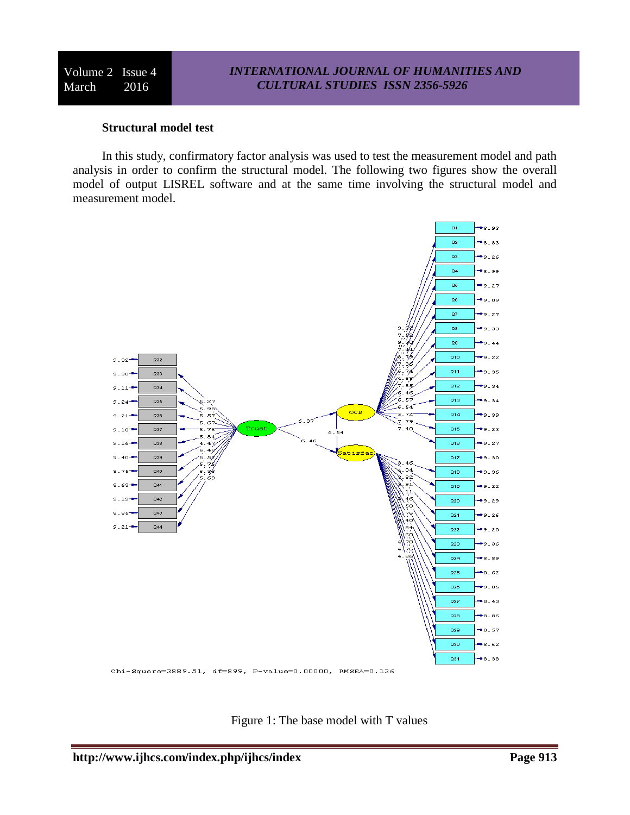#### **Structural model test**

In this study, confirmatory factor analysis was used to test the measurement model and path analysis in order to confirm the structural model. The following two figures show the overall model of output LISREL software and at the same time involving the structural model and measurement model.



Figure 1: The base model with T values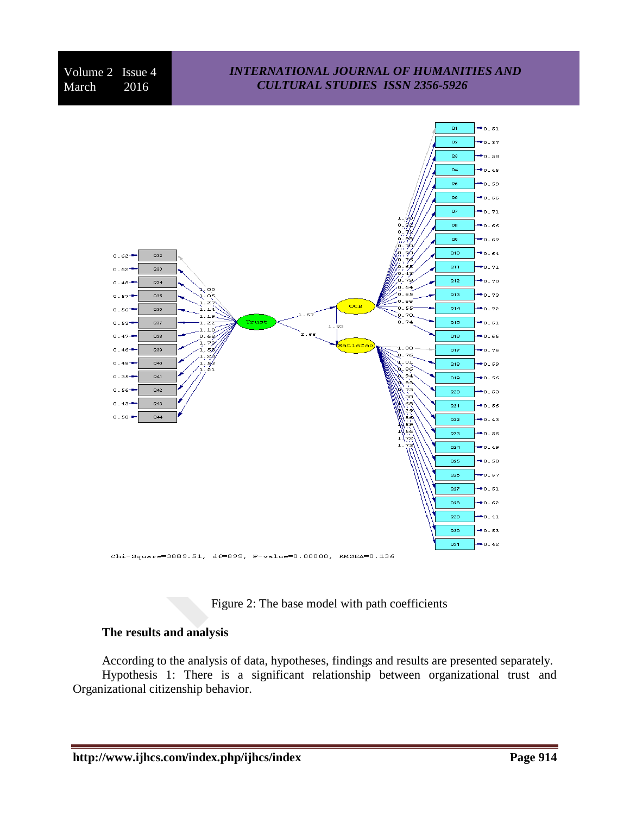# *INTERNATIONAL JOURNAL OF HUMANITIES AND CULTURAL STUDIES ISSN 2356-5926*



Figure 2: The base model with path coefficients

## **The results and analysis**

According to the analysis of data, hypotheses, findings and results are presented separately. Hypothesis 1: There is a significant relationship between organizational trust and Organizational citizenship behavior.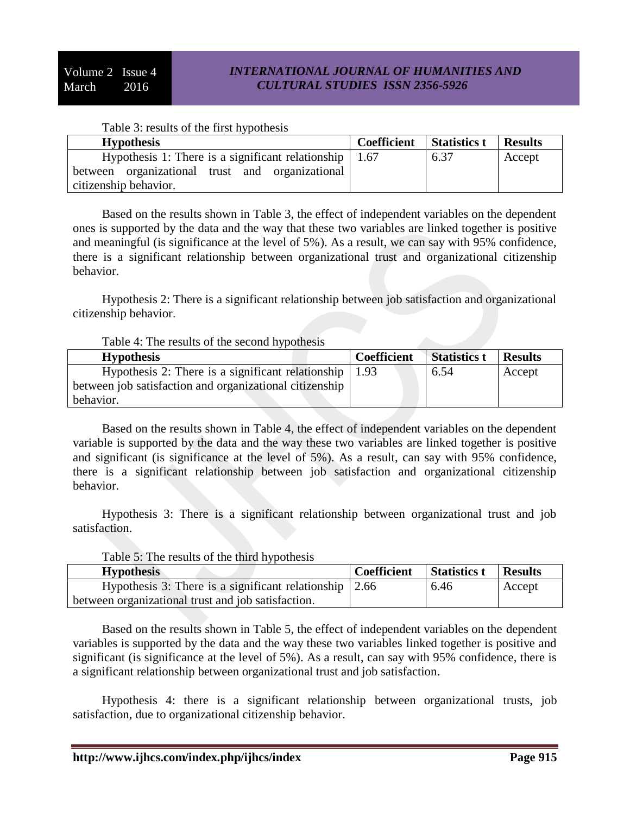|  |  |  | Table 3: results of the first hypothesis |
|--|--|--|------------------------------------------|

| <b>Hypothesis</b>                                              | <b>Coefficient</b> | Statistics t | <b>Results</b> |
|----------------------------------------------------------------|--------------------|--------------|----------------|
| Hypothesis 1: There is a significant relationship $\vert$ 1.67 |                    | 6.37         | Accept         |
| between organizational trust and organizational                |                    |              |                |
| citizenship behavior.                                          |                    |              |                |

Based on the results shown in Table 3, the effect of independent variables on the dependent ones is supported by the data and the way that these two variables are linked together is positive and meaningful (is significance at the level of 5%). As a result, we can say with 95% confidence, there is a significant relationship between organizational trust and organizational citizenship behavior.

Hypothesis 2: There is a significant relationship between job satisfaction and organizational citizenship behavior.

| Table 4: The results of the second hypothesis |  |  |
|-----------------------------------------------|--|--|
|-----------------------------------------------|--|--|

| <b>Hypothesis</b>                                       | <b>Coefficient</b> | <b>Statistics t</b> | <b>Results</b> |
|---------------------------------------------------------|--------------------|---------------------|----------------|
| Hypothesis 2: There is a significant relationship       | 1.93               | 6.54                | Accept         |
| between job satisfaction and organizational citizenship |                    |                     |                |
| behavior.                                               |                    |                     |                |

Based on the results shown in Table 4, the effect of independent variables on the dependent variable is supported by the data and the way these two variables are linked together is positive and significant (is significance at the level of 5%). As a result, can say with 95% confidence, there is a significant relationship between job satisfaction and organizational citizenship behavior.

Hypothesis 3: There is a significant relationship between organizational trust and job satisfaction.

| <b>Hypothesis</b>                                              | <b>Coefficient</b> | <b>Statistics t</b> | <b>Results</b> |
|----------------------------------------------------------------|--------------------|---------------------|----------------|
| Hypothesis 3: There is a significant relationship $\vert$ 2.66 |                    | 6.46                | Accept         |
| between organizational trust and job satisfaction.             |                    |                     |                |

# Table 5: The results of the third hypothesis

Based on the results shown in Table 5, the effect of independent variables on the dependent variables is supported by the data and the way these two variables linked together is positive and significant (is significance at the level of 5%). As a result, can say with 95% confidence, there is a significant relationship between organizational trust and job satisfaction.

Hypothesis 4: there is a significant relationship between organizational trusts, job satisfaction, due to organizational citizenship behavior.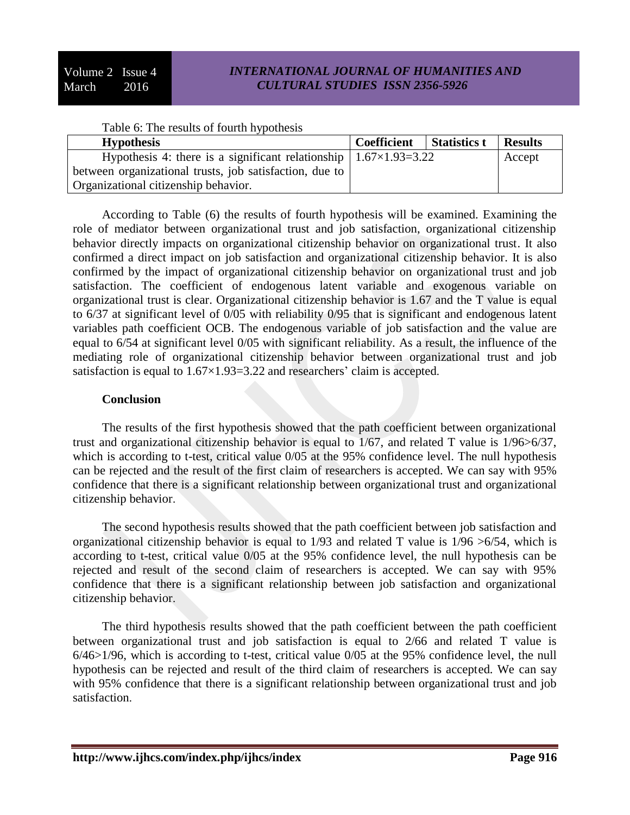## *INTERNATIONAL JOURNAL OF HUMANITIES AND CULTURAL STUDIES ISSN 2356-5926*

| <b>Hypothesis</b>                                                                 | <b>Coefficient</b> | <b>Statistics t</b> | <b>Results</b> |
|-----------------------------------------------------------------------------------|--------------------|---------------------|----------------|
| Hypothesis 4: there is a significant relationship $\vert 1.67 \times 1.93 = 3.22$ |                    |                     | Accept         |
| between organizational trusts, job satisfaction, due to                           |                    |                     |                |
| Organizational citizenship behavior.                                              |                    |                     |                |

According to Table (6) the results of fourth hypothesis will be examined. Examining the role of mediator between organizational trust and job satisfaction, organizational citizenship behavior directly impacts on organizational citizenship behavior on organizational trust. It also confirmed a direct impact on job satisfaction and organizational citizenship behavior. It is also confirmed by the impact of organizational citizenship behavior on organizational trust and job satisfaction. The coefficient of endogenous latent variable and exogenous variable on organizational trust is clear. Organizational citizenship behavior is 1.67 and the T value is equal to 6/37 at significant level of 0/05 with reliability 0/95 that is significant and endogenous latent variables path coefficient OCB. The endogenous variable of job satisfaction and the value are equal to 6/54 at significant level 0/05 with significant reliability. As a result, the influence of the mediating role of organizational citizenship behavior between organizational trust and job satisfaction is equal to 1.67×1.93=3.22 and researchers' claim is accepted.

#### **Conclusion**

The results of the first hypothesis showed that the path coefficient between organizational trust and organizational citizenship behavior is equal to 1/67, and related T value is 1/96>6/37, which is according to t-test, critical value  $0/05$  at the 95% confidence level. The null hypothesis can be rejected and the result of the first claim of researchers is accepted. We can say with 95% confidence that there is a significant relationship between organizational trust and organizational citizenship behavior.

The second hypothesis results showed that the path coefficient between job satisfaction and organizational citizenship behavior is equal to 1/93 and related T value is 1/96 >6/54, which is according to t-test, critical value 0/05 at the 95% confidence level, the null hypothesis can be rejected and result of the second claim of researchers is accepted. We can say with 95% confidence that there is a significant relationship between job satisfaction and organizational citizenship behavior.

The third hypothesis results showed that the path coefficient between the path coefficient between organizational trust and job satisfaction is equal to 2/66 and related T value is 6/46>1/96, which is according to t-test, critical value 0/05 at the 95% confidence level, the null hypothesis can be rejected and result of the third claim of researchers is accepted. We can say with 95% confidence that there is a significant relationship between organizational trust and job satisfaction.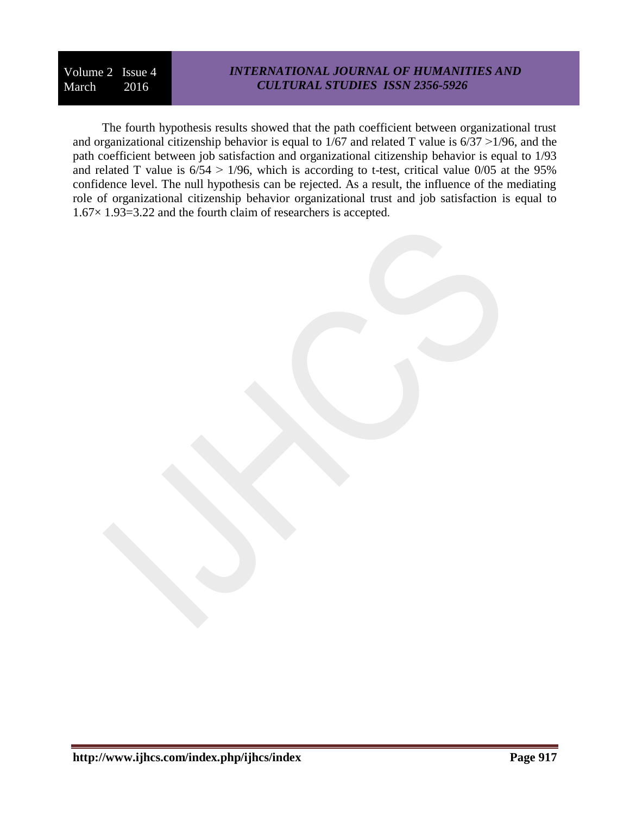# *INTERNATIONAL JOURNAL OF HUMANITIES AND CULTURAL STUDIES ISSN 2356-5926*

The fourth hypothesis results showed that the path coefficient between organizational trust and organizational citizenship behavior is equal to  $1/67$  and related T value is  $6/37 > 1/96$ , and the path coefficient between job satisfaction and organizational citizenship behavior is equal to 1/93 and related T value is  $6/54 > 1/96$ , which is according to t-test, critical value  $0/05$  at the 95% confidence level. The null hypothesis can be rejected. As a result, the influence of the mediating role of organizational citizenship behavior organizational trust and job satisfaction is equal to 1.67× 1.93=3.22 and the fourth claim of researchers is accepted.

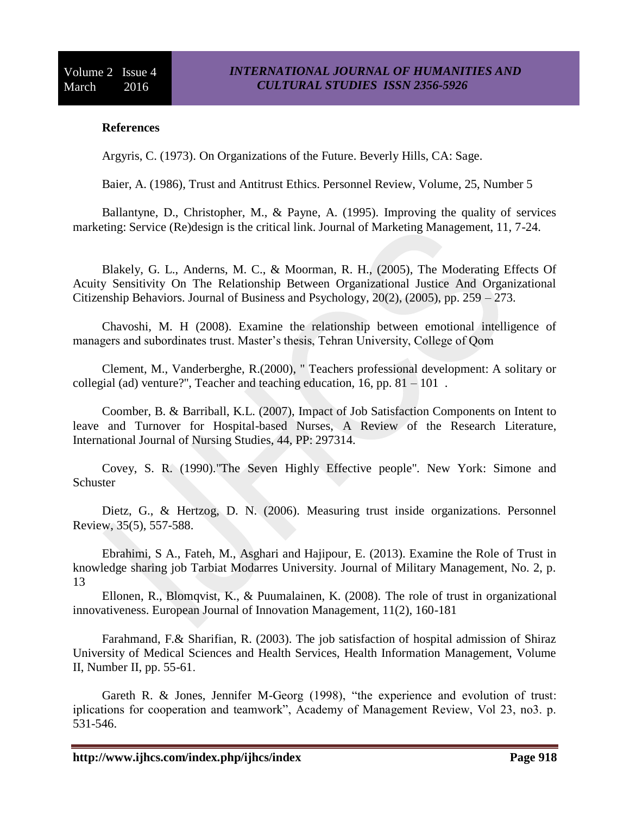## **References**

Argyris, C. (1973). On Organizations of the Future. Beverly Hills, CA: Sage.

Baier, A. (1986), Trust and Antitrust Ethics. Personnel Review, Volume, 25, Number 5

Ballantyne, D., Christopher, M., & Payne, A. (1995). Improving the quality of services marketing: Service (Re)design is the critical link. Journal of Marketing Management, 11, 7-24.

Blakely, G. L., Anderns, M. C., & Moorman, R. H., (2005), The Moderating Effects Of Acuity Sensitivity On The Relationship Between Organizational Justice And Organizational Citizenship Behaviors. Journal of Business and Psychology, 20(2), (2005), pp. 259 – 273.

Chavoshi, M. H (2008). Examine the relationship between emotional intelligence of managers and subordinates trust. Master's thesis, Tehran University, College of Qom

Clement, M., Vanderberghe, R.(2000), " Teachers professional development: A solitary or collegial (ad) venture?", Teacher and teaching education, 16, pp.  $81 - 101$ .

Coomber, B. & Barriball, K.L. (2007), Impact of Job Satisfaction Components on Intent to leave and Turnover for Hospital-based Nurses, A Review of the Research Literature, International Journal of Nursing Studies, 44, PP: 297314.

Covey, S. R. (1990)."The Seven Highly Effective people". New York: Simone and **Schuster** 

Dietz, G., & Hertzog, D. N. (2006). Measuring trust inside organizations. Personnel Review, 35(5), 557-588.

Ebrahimi, S A., Fateh, M., Asghari and Hajipour, E. (2013). Examine the Role of Trust in knowledge sharing job Tarbiat Modarres University. Journal of Military Management, No. 2, p. 13

Ellonen, R., Blomqvist, K., & Puumalainen, K. (2008). The role of trust in organizational innovativeness. European Journal of Innovation Management, 11(2), 160-181

Farahmand, F.& Sharifian, R. (2003). The job satisfaction of hospital admission of Shiraz University of Medical Sciences and Health Services, Health Information Management, Volume II, Number II, pp. 55-61.

Gareth R. & Jones, Jennifer M-Georg (1998), "the experience and evolution of trust: iplications for cooperation and teamwork", Academy of Management Review, Vol 23, no3. p. 531-546.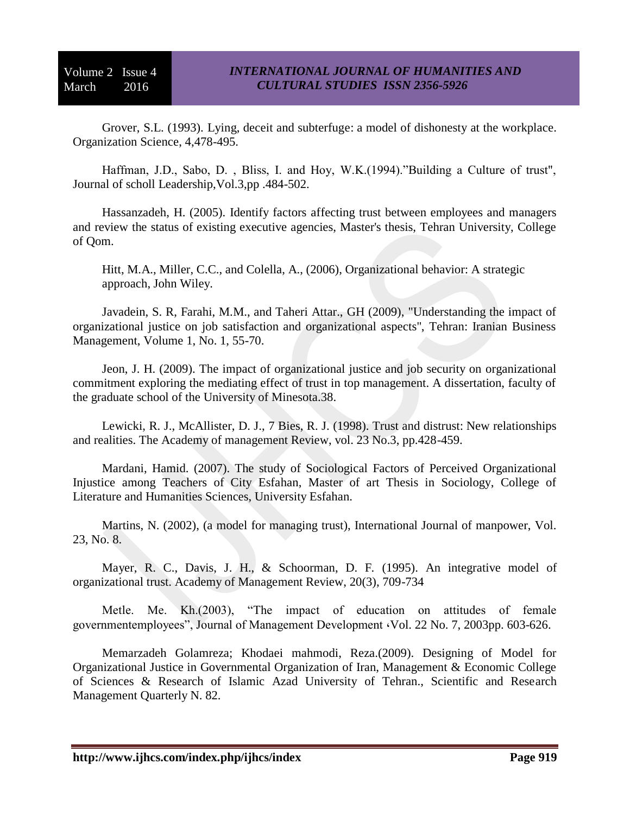Grover, S.L. (1993). Lying, deceit and subterfuge: a model of dishonesty at the workplace. Organization Science, 4,478-495.

Haffman, J.D., Sabo, D. , Bliss, I. and Hoy, W.K.(1994)."Building a Culture of trust", Journal of scholl Leadership,Vol.3,pp .484-502.

Hassanzadeh, H. (2005). Identify factors affecting trust between employees and managers and review the status of existing executive agencies, Master's thesis, Tehran University, College of Qom.

Hitt, M.A., Miller, C.C., and Colella, A., (2006), Organizational behavior: A strategic approach, John Wiley.

Javadein, S. R, Farahi, M.M., and Taheri Attar., GH (2009), "Understanding the impact of organizational justice on job satisfaction and organizational aspects", Tehran: Iranian Business Management, Volume 1, No. 1, 55-70.

Jeon, J. H. (2009). The impact of organizational justice and job security on organizational commitment exploring the mediating effect of trust in top management. A dissertation, faculty of the graduate school of the University of Minesota.38.

Lewicki, R. J., McAllister, D. J., 7 Bies, R. J. (1998). Trust and distrust: New relationships and realities. The Academy of management Review, vol. 23 No.3, pp.428-459.

Mardani, Hamid. (2007). The study of Sociological Factors of Perceived Organizational Injustice among Teachers of City Esfahan, Master of art Thesis in Sociology, College of Literature and Humanities Sciences, University Esfahan.

Martins, N. (2002), (a model for managing trust), International Journal of manpower, Vol. 23, No. 8.

Mayer, R. C., Davis, J. H., & Schoorman, D. F. (1995). An integrative model of organizational trust. Academy of Management Review, 20(3), 709-734

Metle. Me. Kh.(2003), "The impact of education on attitudes of female governmentemployees", Journal of Management Development ،Vol. 22 No. 7, 2003pp. 603-626.

Memarzadeh Golamreza; Khodaei mahmodi, Reza.(2009). Designing of Model for Organizational Justice in Governmental Organization of Iran, Management & Economic College of Sciences & Research of Islamic Azad University of Tehran., Scientific and Research Management Quarterly N. 82.